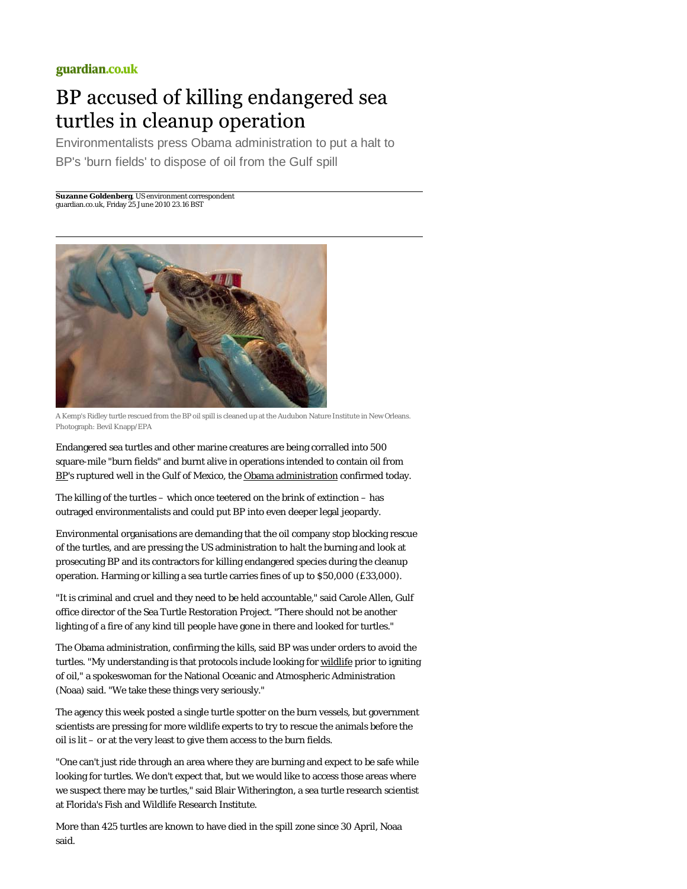## guardian.co.uk

## BP accused of killing endangered sea turtles in cleanup operation

Environmentalists press Obama administration to put a halt to BP's 'burn fields' to dispose of oil from the Gulf spill

**Suzanne Goldenberg**, US environment correspondent guardian.co.uk, Friday 25 June 2010 23.16 BST



A Kemp's Ridley turtle rescued from the BP oil spill is cleaned up at the Audubon Nature Institute in New Orleans. Photograph: Bevil Knapp/EPA

Endangered sea turtles and other marine creatures are being corralled into 500 square-mile "burn fields" and burnt alive in operations intended to contain oil from BP's ruptured well in the Gulf of Mexico, the Obama administration confirmed today.

The killing of the turtles – which once teetered on the brink of extinction – has outraged environmentalists and could put BP into even deeper legal jeopardy.

Environmental organisations are demanding that the oil company stop blocking rescue of the turtles, and are pressing the US administration to halt the burning and look at prosecuting BP and its contractors for killing endangered species during the cleanup operation. Harming or killing a sea turtle carries fines of up to \$50,000 (£33,000).

"It is criminal and cruel and they need to be held accountable," said Carole Allen, Gulf office director of the Sea Turtle Restoration Project. "There should not be another lighting of a fire of any kind till people have gone in there and looked for turtles."

The Obama administration, confirming the kills, said BP was under orders to avoid the turtles. "My understanding is that protocols include looking for wildlife prior to igniting of oil," a spokeswoman for the National Oceanic and Atmospheric Administration (Noaa) said. "We take these things very seriously."

The agency this week posted a single turtle spotter on the burn vessels, but government scientists are pressing for more wildlife experts to try to rescue the animals before the oil is lit – or at the very least to give them access to the burn fields.

"One can't just ride through an area where they are burning and expect to be safe while looking for turtles. We don't expect that, but we would like to access those areas where we suspect there may be turtles," said Blair Witherington, a sea turtle research scientist at Florida's Fish and Wildlife Research Institute.

More than 425 turtles are known to have died in the spill zone since 30 April, Noaa said.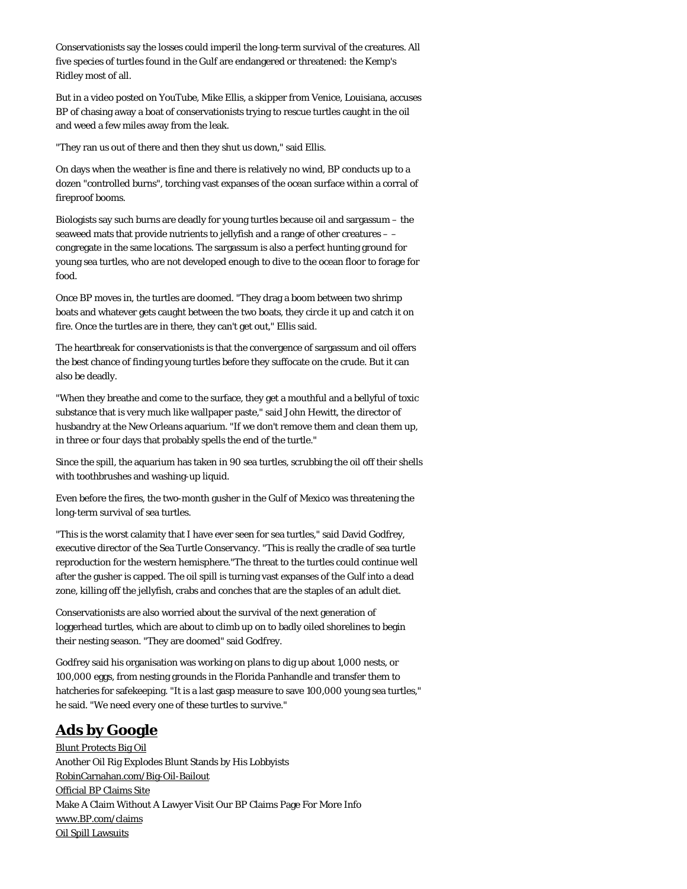Conservationists say the losses could imperil the long-term survival of the creatures. All five species of turtles found in the Gulf are endangered or threatened: the Kemp's Ridley most of all.

But in a video posted on YouTube, Mike Ellis, a skipper from Venice, Louisiana, accuses BP of chasing away a boat of conservationists trying to rescue turtles caught in the oil and weed a few miles away from the leak.

"They ran us out of there and then they shut us down," said Ellis.

On days when the weather is fine and there is relatively no wind, BP conducts up to a dozen "controlled burns", torching vast expanses of the ocean surface within a corral of fireproof booms.

Biologists say such burns are deadly for young turtles because oil and sargassum – the seaweed mats that provide nutrients to jellyfish and a range of other creatures – – congregate in the same locations. The sargassum is also a perfect hunting ground for young sea turtles, who are not developed enough to dive to the ocean floor to forage for food.

Once BP moves in, the turtles are doomed. "They drag a boom between two shrimp boats and whatever gets caught between the two boats, they circle it up and catch it on fire. Once the turtles are in there, they can't get out," Ellis said.

The heartbreak for conservationists is that the convergence of sargassum and oil offers the best chance of finding young turtles before they suffocate on the crude. But it can also be deadly.

"When they breathe and come to the surface, they get a mouthful and a bellyful of toxic substance that is very much like wallpaper paste," said John Hewitt, the director of husbandry at the New Orleans aquarium. "If we don't remove them and clean them up, in three or four days that probably spells the end of the turtle."

Since the spill, the aquarium has taken in 90 sea turtles, scrubbing the oil off their shells with toothbrushes and washing-up liquid.

Even before the fires, the two-month gusher in the Gulf of Mexico was threatening the long-term survival of sea turtles.

"This is the worst calamity that I have ever seen for sea turtles," said David Godfrey, executive director of the Sea Turtle Conservancy. "This is really the cradle of sea turtle reproduction for the western hemisphere."The threat to the turtles could continue well after the gusher is capped. The oil spill is turning vast expanses of the Gulf into a dead zone, killing off the jellyfish, crabs and conches that are the staples of an adult diet.

Conservationists are also worried about the survival of the next generation of loggerhead turtles, which are about to climb up on to badly oiled shorelines to begin their nesting season. "They are doomed" said Godfrey.

Godfrey said his organisation was working on plans to dig up about 1,000 nests, or 100,000 eggs, from nesting grounds in the Florida Panhandle and transfer them to hatcheries for safekeeping. "It is a last gasp measure to save 100,000 young sea turtles," he said. "We need every one of these turtles to survive."

## **Ads by Google**

Blunt Protects Big Oil Another Oil Rig Explodes Blunt Stands by His Lobbyists RobinCarnahan.com/Big-Oil-Bailout Official BP Claims Site Make A Claim Without A Lawyer Visit Our BP Claims Page For More Info www.BP.com/claims Oil Spill Lawsuits